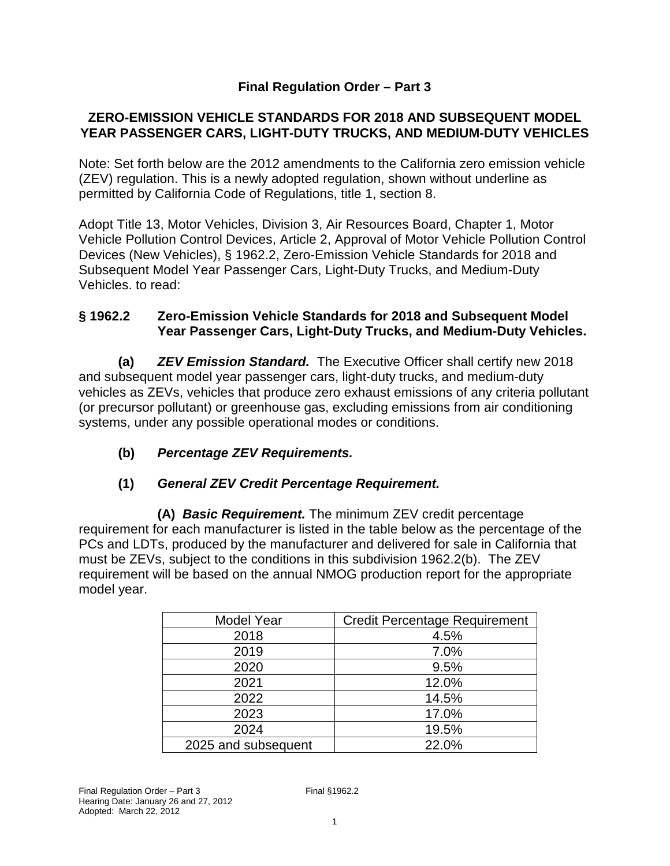#### **Final Regulation Order – Part 3**

#### **ZERO-EMISSION VEHICLE STANDARDS FOR 2018 AND SUBSEQUENT MODEL YEAR PASSENGER CARS, LIGHT-DUTY TRUCKS, AND MEDIUM-DUTY VEHICLES**

Note: Set forth below are the 2012 amendments to the California zero emission vehicle (ZEV) regulation. This is a newly adopted regulation, shown without underline as permitted by California Code of Regulations, title 1, section 8.

Adopt Title 13, Motor Vehicles, Division 3, Air Resources Board, Chapter 1, Motor Vehicle Pollution Control Devices, Article 2, Approval of Motor Vehicle Pollution Control Devices (New Vehicles), § 1962.2, Zero-Emission Vehicle Standards for 2018 and Subsequent Model Year Passenger Cars, Light-Duty Trucks, and Medium-Duty Vehicles. to read:

#### **§ 1962.2 Zero-Emission Vehicle Standards for 2018 and Subsequent Model Year Passenger Cars, Light-Duty Trucks, and Medium-Duty Vehicles.**

**(a) ZEV Emission Standard.** The Executive Officer shall certify new 2018 and subsequent model year passenger cars, light-duty trucks, and medium-duty vehicles as ZEVs, vehicles that produce zero exhaust emissions of any criteria pollutant (or precursor pollutant) or greenhouse gas, excluding emissions from air conditioning systems, under any possible operational modes or conditions.

**(b) Percentage ZEV Requirements.** 

#### **(1) General ZEV Credit Percentage Requirement.**

**(A) Basic Requirement.** The minimum ZEV credit percentage requirement for each manufacturer is listed in the table below as the percentage of the PCs and LDTs, produced by the manufacturer and delivered for sale in California that must be ZEVs, subject to the conditions in this subdivision 1962.2(b). The ZEV requirement will be based on the annual NMOG production report for the appropriate model year.

| <b>Model Year</b>   | <b>Credit Percentage Requirement</b> |  |  |
|---------------------|--------------------------------------|--|--|
| 2018                | 4.5%                                 |  |  |
| 2019                | 7.0%                                 |  |  |
| 2020                | 9.5%                                 |  |  |
| 2021                | 12.0%                                |  |  |
| 2022                | 14.5%                                |  |  |
| 2023                | 17.0%                                |  |  |
| 2024                | 19.5%                                |  |  |
| 2025 and subsequent | 22.0%                                |  |  |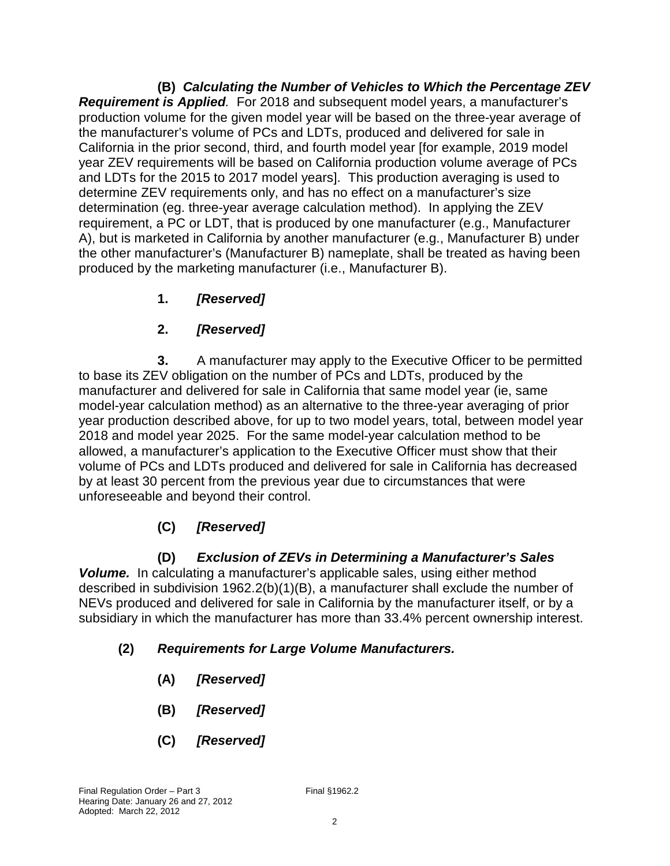**(B) Calculating the Number of Vehicles to Which the Percentage ZEV Requirement is Applied**. For 2018 and subsequent model years, a manufacturer's production volume for the given model year will be based on the three-year average of the manufacturer's volume of PCs and LDTs, produced and delivered for sale in California in the prior second, third, and fourth model year [for example, 2019 model year ZEV requirements will be based on California production volume average of PCs and LDTs for the 2015 to 2017 model years]. This production averaging is used to determine ZEV requirements only, and has no effect on a manufacturer's size determination (eg. three-year average calculation method). In applying the ZEV requirement, a PC or LDT, that is produced by one manufacturer (e.g., Manufacturer A), but is marketed in California by another manufacturer (e.g., Manufacturer B) under the other manufacturer's (Manufacturer B) nameplate, shall be treated as having been produced by the marketing manufacturer (i.e., Manufacturer B).

## **1. [Reserved]**

## **2. [Reserved]**

**3.** A manufacturer may apply to the Executive Officer to be permitted to base its ZEV obligation on the number of PCs and LDTs, produced by the manufacturer and delivered for sale in California that same model year (ie, same model-year calculation method) as an alternative to the three-year averaging of prior year production described above, for up to two model years, total, between model year 2018 and model year 2025. For the same model-year calculation method to be allowed, a manufacturer's application to the Executive Officer must show that their volume of PCs and LDTs produced and delivered for sale in California has decreased by at least 30 percent from the previous year due to circumstances that were unforeseeable and beyond their control.

# **(C) [Reserved]**

### **(D) Exclusion of ZEVs in Determining a Manufacturer's Sales**

**Volume.** In calculating a manufacturer's applicable sales, using either method described in subdivision 1962.2(b)(1)(B), a manufacturer shall exclude the number of NEVs produced and delivered for sale in California by the manufacturer itself, or by a subsidiary in which the manufacturer has more than 33.4% percent ownership interest.

### **(2) Requirements for Large Volume Manufacturers.**

- **(A) [Reserved]**
- **(B) [Reserved]**
- **(C) [Reserved]**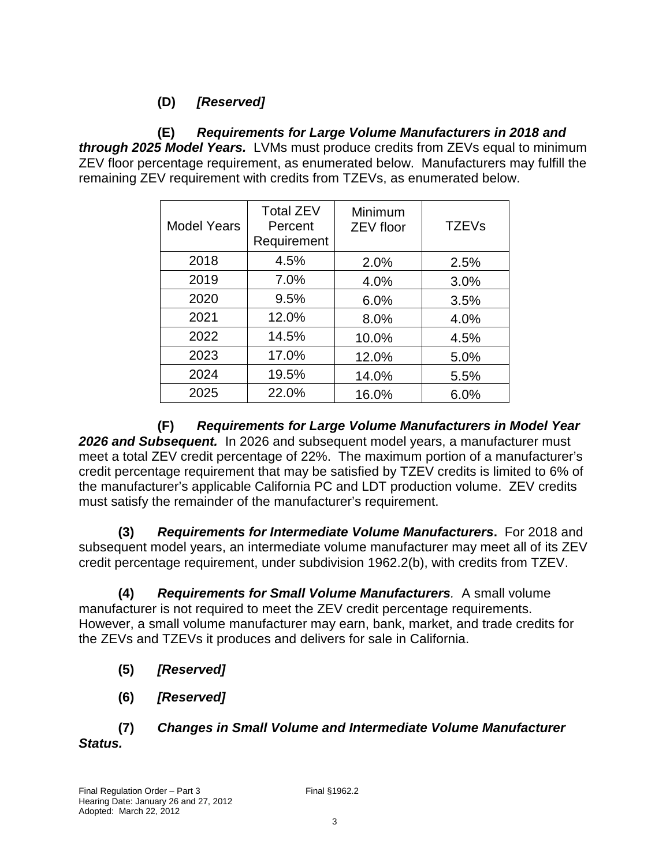### **(D) [Reserved]**

 **(E) Requirements for Large Volume Manufacturers in 2018 and through 2025 Model Years.** LVMs must produce credits from ZEVs equal to minimum ZEV floor percentage requirement, as enumerated below. Manufacturers may fulfill the remaining ZEV requirement with credits from TZEVs, as enumerated below.

| <b>Model Years</b> | <b>Total ZEV</b><br>Percent<br>Requirement | Minimum<br><b>ZEV floor</b> | <b>TZEVs</b> |
|--------------------|--------------------------------------------|-----------------------------|--------------|
| 2018               | 4.5%                                       | 2.0%                        | 2.5%         |
| 2019               | 7.0%                                       | 4.0%                        | 3.0%         |
| 2020               | 9.5%                                       | 6.0%                        | 3.5%         |
| 2021               | 12.0%                                      | 8.0%                        | 4.0%         |
| 2022               | 14.5%                                      | 10.0%                       | 4.5%         |
| 2023               | 17.0%                                      | 12.0%                       | 5.0%         |
| 2024               | 19.5%                                      | 14.0%                       | 5.5%         |
| 2025               | 22.0%                                      | 16.0%                       | 6.0%         |

**(F) Requirements for Large Volume Manufacturers in Model Year 2026 and Subsequent.** In 2026 and subsequent model years, a manufacturer must meet a total ZEV credit percentage of 22%. The maximum portion of a manufacturer's credit percentage requirement that may be satisfied by TZEV credits is limited to 6% of the manufacturer's applicable California PC and LDT production volume. ZEV credits must satisfy the remainder of the manufacturer's requirement.

**(3) Requirements for Intermediate Volume Manufacturers.** For 2018 and subsequent model years, an intermediate volume manufacturer may meet all of its ZEV credit percentage requirement, under subdivision 1962.2(b), with credits from TZEV.

 **(4) Requirements for Small Volume Manufacturers**. A small volume manufacturer is not required to meet the ZEV credit percentage requirements. However, a small volume manufacturer may earn, bank, market, and trade credits for the ZEVs and TZEVs it produces and delivers for sale in California.

- **(5) [Reserved]**
- **(6) [Reserved]**
- **(7) Changes in Small Volume and Intermediate Volume Manufacturer Status.**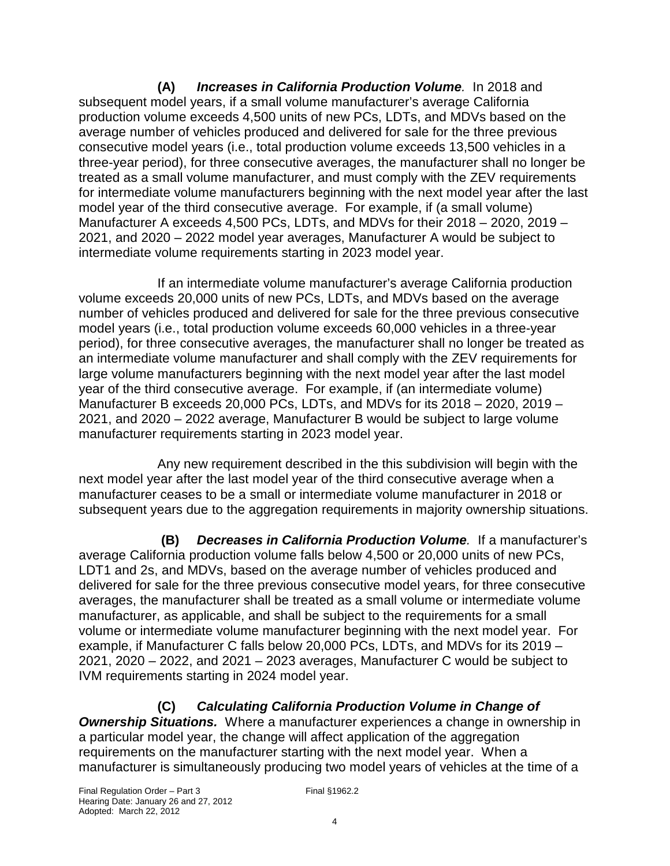**(A) Increases in California Production Volume**. In 2018 and subsequent model years, if a small volume manufacturer's average California production volume exceeds 4,500 units of new PCs, LDTs, and MDVs based on the average number of vehicles produced and delivered for sale for the three previous consecutive model years (i.e., total production volume exceeds 13,500 vehicles in a three-year period), for three consecutive averages, the manufacturer shall no longer be treated as a small volume manufacturer, and must comply with the ZEV requirements for intermediate volume manufacturers beginning with the next model year after the last model year of the third consecutive average. For example, if (a small volume) Manufacturer A exceeds 4,500 PCs, LDTs, and MDVs for their 2018 – 2020, 2019 – 2021, and 2020 – 2022 model year averages, Manufacturer A would be subject to intermediate volume requirements starting in 2023 model year.

If an intermediate volume manufacturer's average California production volume exceeds 20,000 units of new PCs, LDTs, and MDVs based on the average number of vehicles produced and delivered for sale for the three previous consecutive model years (i.e., total production volume exceeds 60,000 vehicles in a three-year period), for three consecutive averages, the manufacturer shall no longer be treated as an intermediate volume manufacturer and shall comply with the ZEV requirements for large volume manufacturers beginning with the next model year after the last model year of the third consecutive average. For example, if (an intermediate volume) Manufacturer B exceeds 20,000 PCs, LDTs, and MDVs for its 2018 – 2020, 2019 – 2021, and 2020 – 2022 average, Manufacturer B would be subject to large volume manufacturer requirements starting in 2023 model year.

Any new requirement described in the this subdivision will begin with the next model year after the last model year of the third consecutive average when a manufacturer ceases to be a small or intermediate volume manufacturer in 2018 or subsequent years due to the aggregation requirements in majority ownership situations.

 **(B) Decreases in California Production Volume**. If a manufacturer's average California production volume falls below 4,500 or 20,000 units of new PCs, LDT1 and 2s, and MDVs, based on the average number of vehicles produced and delivered for sale for the three previous consecutive model years, for three consecutive averages, the manufacturer shall be treated as a small volume or intermediate volume manufacturer, as applicable, and shall be subject to the requirements for a small volume or intermediate volume manufacturer beginning with the next model year. For example, if Manufacturer C falls below 20,000 PCs, LDTs, and MDVs for its 2019 – 2021, 2020 – 2022, and 2021 – 2023 averages, Manufacturer C would be subject to IVM requirements starting in 2024 model year.

### **(C) Calculating California Production Volume in Change of**

**Ownership Situations.** Where a manufacturer experiences a change in ownership in a particular model year, the change will affect application of the aggregation requirements on the manufacturer starting with the next model year. When a manufacturer is simultaneously producing two model years of vehicles at the time of a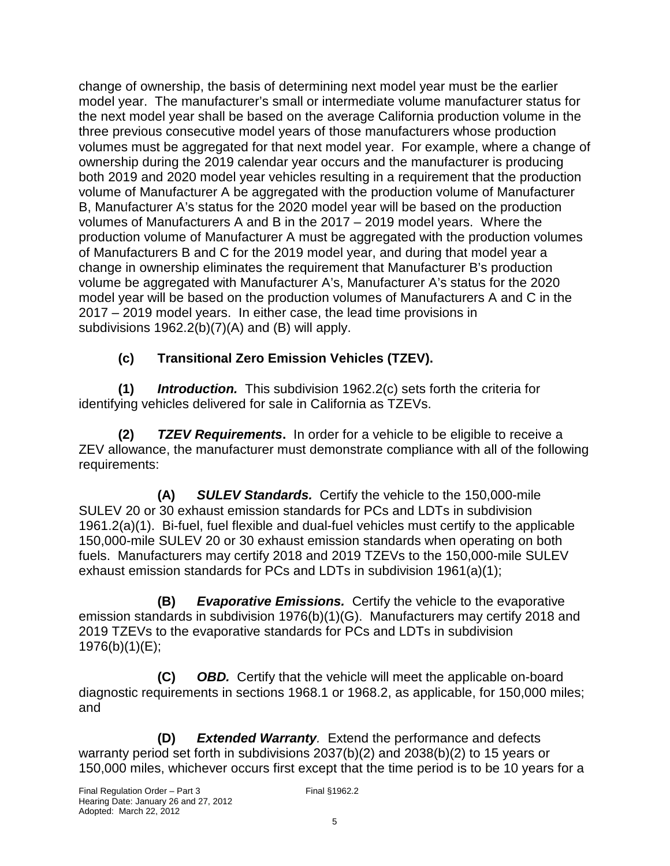change of ownership, the basis of determining next model year must be the earlier model year. The manufacturer's small or intermediate volume manufacturer status for the next model year shall be based on the average California production volume in the three previous consecutive model years of those manufacturers whose production volumes must be aggregated for that next model year. For example, where a change of ownership during the 2019 calendar year occurs and the manufacturer is producing both 2019 and 2020 model year vehicles resulting in a requirement that the production volume of Manufacturer A be aggregated with the production volume of Manufacturer B, Manufacturer A's status for the 2020 model year will be based on the production volumes of Manufacturers A and B in the 2017 – 2019 model years. Where the production volume of Manufacturer A must be aggregated with the production volumes of Manufacturers B and C for the 2019 model year, and during that model year a change in ownership eliminates the requirement that Manufacturer B's production volume be aggregated with Manufacturer A's, Manufacturer A's status for the 2020 model year will be based on the production volumes of Manufacturers A and C in the 2017 – 2019 model years. In either case, the lead time provisions in subdivisions 1962.2(b)(7)(A) and (B) will apply.

### **(c) Transitional Zero Emission Vehicles (TZEV).**

**(1) Introduction.** This subdivision 1962.2(c) sets forth the criteria for identifying vehicles delivered for sale in California as TZEVs.

**(2) TZEV Requirements.** In order for a vehicle to be eligible to receive a ZEV allowance, the manufacturer must demonstrate compliance with all of the following requirements:

**(A) SULEV Standards.** Certify the vehicle to the 150,000-mile SULEV 20 or 30 exhaust emission standards for PCs and LDTs in subdivision 1961.2(a)(1). Bi-fuel, fuel flexible and dual-fuel vehicles must certify to the applicable 150,000-mile SULEV 20 or 30 exhaust emission standards when operating on both fuels. Manufacturers may certify 2018 and 2019 TZEVs to the 150,000-mile SULEV exhaust emission standards for PCs and LDTs in subdivision 1961(a)(1);

**(B) Evaporative Emissions.** Certify the vehicle to the evaporative emission standards in subdivision 1976(b)(1)(G). Manufacturers may certify 2018 and 2019 TZEVs to the evaporative standards for PCs and LDTs in subdivision 1976(b)(1)(E);

**(C) OBD.** Certify that the vehicle will meet the applicable on-board diagnostic requirements in sections 1968.1 or 1968.2, as applicable, for 150,000 miles; and

**(D) Extended Warranty**. Extend the performance and defects warranty period set forth in subdivisions 2037(b)(2) and 2038(b)(2) to 15 years or 150,000 miles, whichever occurs first except that the time period is to be 10 years for a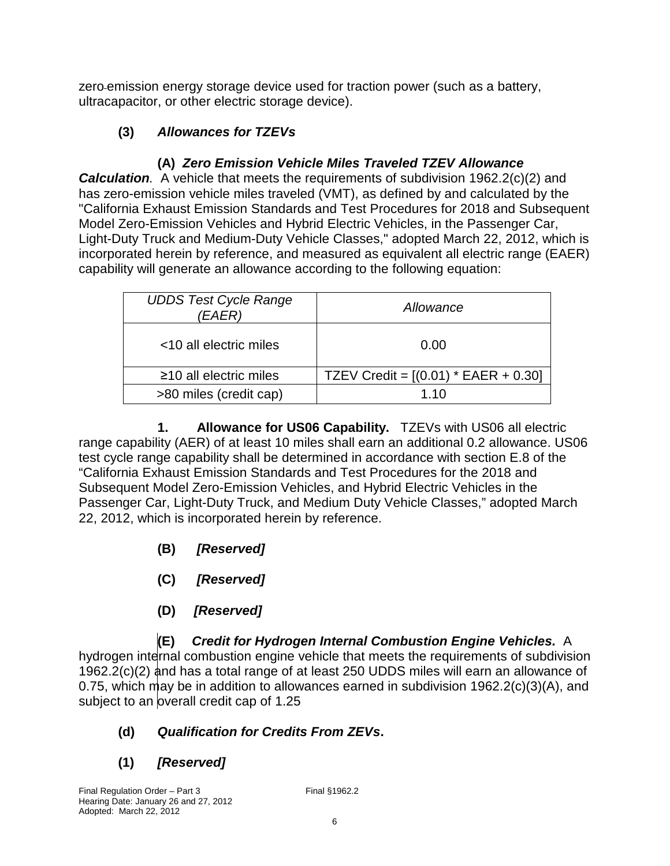zero emission energy storage device used for traction power (such as a battery, ultracapacitor, or other electric storage device).

### **(3) Allowances for TZEVs**

### **(A) Zero Emission Vehicle Miles Traveled TZEV Allowance**

**Calculation.** A vehicle that meets the requirements of subdivision 1962.2(c)(2) and has zero-emission vehicle miles traveled (VMT), as defined by and calculated by the "California Exhaust Emission Standards and Test Procedures for 2018 and Subsequent Model Zero-Emission Vehicles and Hybrid Electric Vehicles, in the Passenger Car, Light-Duty Truck and Medium-Duty Vehicle Classes," adopted March 22, 2012, which is incorporated herein by reference, and measured as equivalent all electric range (EAER) capability will generate an allowance according to the following equation:

| <b>UDDS Test Cycle Range</b><br>'EAER) | Allowance                              |  |
|----------------------------------------|----------------------------------------|--|
| <10 all electric miles                 | 0.00                                   |  |
| $\geq$ 10 all electric miles           | TZEV Credit = $[(0.01) * EAER + 0.30]$ |  |
| >80 miles (credit cap)                 | 1 1 0                                  |  |

**1. Allowance for US06 Capability.** TZEVs with US06 all electric range capability (AER) of at least 10 miles shall earn an additional 0.2 allowance. US06 test cycle range capability shall be determined in accordance with section E.8 of the "California Exhaust Emission Standards and Test Procedures for the 2018 and Subsequent Model Zero-Emission Vehicles, and Hybrid Electric Vehicles in the Passenger Car, Light-Duty Truck, and Medium Duty Vehicle Classes," adopted March 22, 2012, which is incorporated herein by reference.

- **(B) [Reserved]**
- **(C) [Reserved]**
- **(D) [Reserved]**

**(E) Credit for Hydrogen Internal Combustion Engine Vehicles.** A hydrogen internal combustion engine vehicle that meets the requirements of subdivision 1962.2(c)(2) and has a total range of at least 250 UDDS miles will earn an allowance of 0.75, which may be in addition to allowances earned in subdivision 1962.2(c)(3)(A), and subject to an overall credit cap of 1.25

- **(d) Qualification for Credits From ZEVs.**
- **(1) [Reserved]**

Final Regulation Order – Part 3 Final §1962.2 Hearing Date: January 26 and 27, 2012 Adopted: March 22, 2012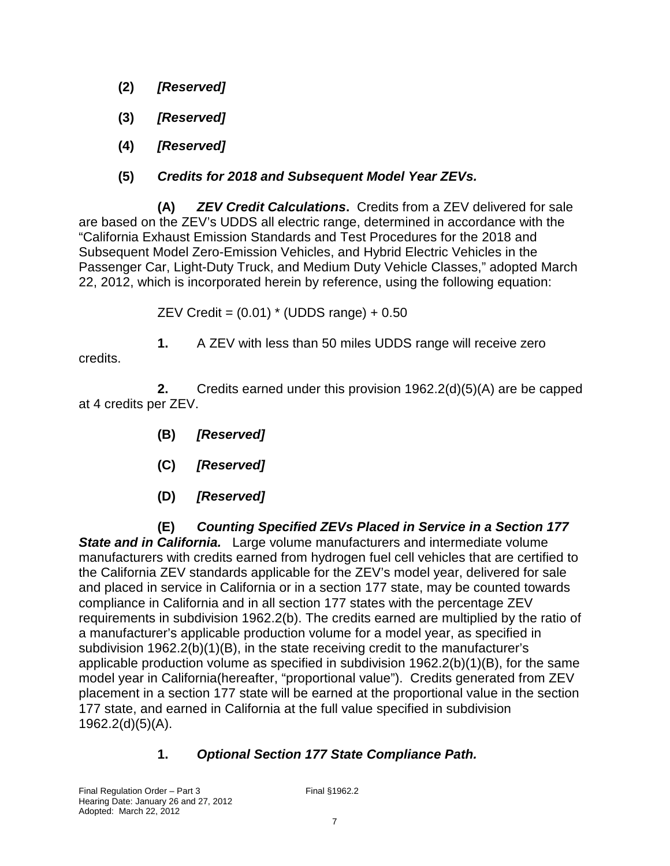- **(2) [Reserved]**
- **(3) [Reserved]**
- **(4) [Reserved]**
- **(5) Credits for 2018 and Subsequent Model Year ZEVs.**

**(A) ZEV Credit Calculations.** Credits from a ZEV delivered for sale are based on the ZEV's UDDS all electric range, determined in accordance with the "California Exhaust Emission Standards and Test Procedures for the 2018 and Subsequent Model Zero-Emission Vehicles, and Hybrid Electric Vehicles in the Passenger Car, Light-Duty Truck, and Medium Duty Vehicle Classes," adopted March 22, 2012, which is incorporated herein by reference, using the following equation:

ZEV Credit =  $(0.01)$  \* (UDDS range) +  $0.50$ 

**1.** A ZEV with less than 50 miles UDDS range will receive zero

credits.

**2.** Credits earned under this provision 1962.2(d)(5)(A) are be capped at 4 credits per ZEV.

- **(B) [Reserved]**
- **(C) [Reserved]**
- **(D) [Reserved]**

**(E) Counting Specified ZEVs Placed in Service in a Section 177 State and in California.** Large volume manufacturers and intermediate volume manufacturers with credits earned from hydrogen fuel cell vehicles that are certified to the California ZEV standards applicable for the ZEV's model year, delivered for sale and placed in service in California or in a section 177 state, may be counted towards compliance in California and in all section 177 states with the percentage ZEV requirements in subdivision 1962.2(b). The credits earned are multiplied by the ratio of a manufacturer's applicable production volume for a model year, as specified in subdivision 1962.2(b)(1)(B), in the state receiving credit to the manufacturer's applicable production volume as specified in subdivision 1962.2(b)(1)(B), for the same model year in California(hereafter, "proportional value"). Credits generated from ZEV placement in a section 177 state will be earned at the proportional value in the section 177 state, and earned in California at the full value specified in subdivision 1962.2(d)(5)(A).

### **1. Optional Section 177 State Compliance Path.**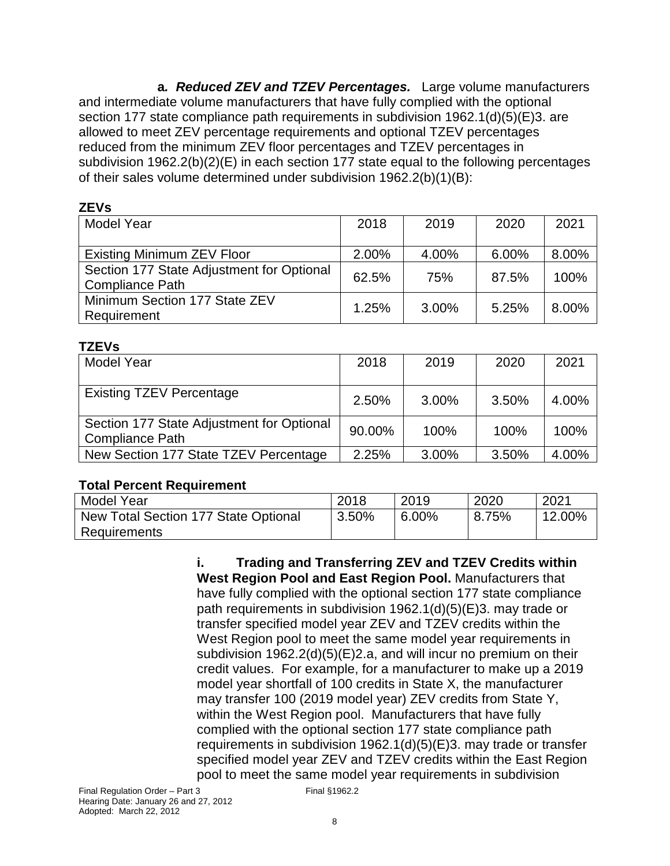**a. Reduced ZEV and TZEV Percentages.** Large volume manufacturers and intermediate volume manufacturers that have fully complied with the optional section 177 state compliance path requirements in subdivision 1962.1(d)(5)(E)3. are allowed to meet ZEV percentage requirements and optional TZEV percentages reduced from the minimum ZEV floor percentages and TZEV percentages in subdivision 1962.2(b)(2)(E) in each section 177 state equal to the following percentages of their sales volume determined under subdivision 1962.2(b)(1)(B):

#### **ZEVs**

| <b>Model Year</b>                                                   | 2018  | 2019  | 2020  | 2021  |
|---------------------------------------------------------------------|-------|-------|-------|-------|
| Existing Minimum ZEV Floor                                          | 2.00% | 4.00% | 6.00% | 8.00% |
| Section 177 State Adjustment for Optional<br><b>Compliance Path</b> | 62.5% | 75%   | 87.5% | 100%  |
| Minimum Section 177 State ZEV<br>Requirement                        | 1.25% | 3.00% | 5.25% | 8.00% |

### **TZEVs**

| .                                                                   |        |       |       |       |
|---------------------------------------------------------------------|--------|-------|-------|-------|
| <b>Model Year</b>                                                   | 2018   | 2019  | 2020  | 2021  |
| <b>Existing TZEV Percentage</b>                                     | 2.50%  | 3.00% | 3.50% | 4.00% |
| Section 177 State Adjustment for Optional<br><b>Compliance Path</b> | 90.00% | 100%  | 100%  | 100%  |
| New Section 177 State TZEV Percentage                               | 2.25%  | 3.00% | 3.50% | 4.00% |

### **Total Percent Requirement**

| Model Year                           | 2018  | 2019  | 2020  | 2021      |
|--------------------------------------|-------|-------|-------|-----------|
| New Total Section 177 State Optional | 3.50% | 6.00% | 8.75% | $12.00\%$ |
| <b>Requirements</b>                  |       |       |       |           |

**i. Trading and Transferring ZEV and TZEV Credits within West Region Pool and East Region Pool.** Manufacturers that have fully complied with the optional section 177 state compliance path requirements in subdivision 1962.1(d)(5)(E)3. may trade or transfer specified model year ZEV and TZEV credits within the West Region pool to meet the same model year requirements in subdivision 1962.2(d)(5)(E)2.a, and will incur no premium on their credit values. For example, for a manufacturer to make up a 2019 model year shortfall of 100 credits in State X, the manufacturer may transfer 100 (2019 model year) ZEV credits from State Y, within the West Region pool. Manufacturers that have fully complied with the optional section 177 state compliance path requirements in subdivision 1962.1(d)(5)(E)3. may trade or transfer specified model year ZEV and TZEV credits within the East Region pool to meet the same model year requirements in subdivision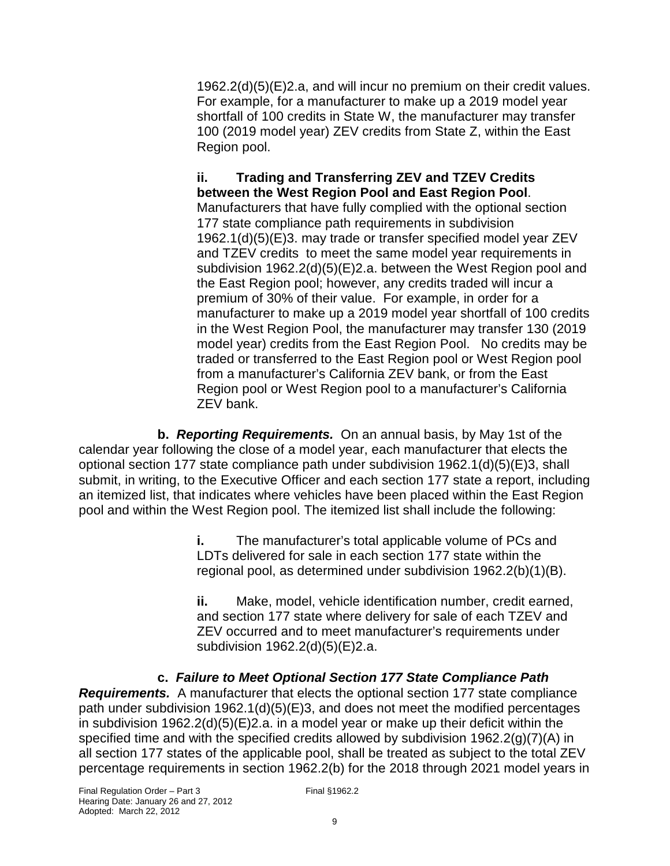1962.2(d)(5)(E)2.a, and will incur no premium on their credit values. For example, for a manufacturer to make up a 2019 model year shortfall of 100 credits in State W, the manufacturer may transfer 100 (2019 model year) ZEV credits from State Z, within the East Region pool.

#### **ii. Trading and Transferring ZEV and TZEV Credits between the West Region Pool and East Region Pool**. Manufacturers that have fully complied with the optional section

177 state compliance path requirements in subdivision 1962.1(d)(5)(E)3. may trade or transfer specified model year ZEV and TZEV credits to meet the same model year requirements in subdivision 1962.2(d)(5)(E)2.a. between the West Region pool and the East Region pool; however, any credits traded will incur a premium of 30% of their value. For example, in order for a manufacturer to make up a 2019 model year shortfall of 100 credits in the West Region Pool, the manufacturer may transfer 130 (2019 model year) credits from the East Region Pool. No credits may be traded or transferred to the East Region pool or West Region pool from a manufacturer's California ZEV bank, or from the East Region pool or West Region pool to a manufacturer's California ZEV bank.

**b. Reporting Requirements.** On an annual basis, by May 1st of the calendar year following the close of a model year, each manufacturer that elects the optional section 177 state compliance path under subdivision 1962.1(d)(5)(E)3, shall submit, in writing, to the Executive Officer and each section 177 state a report, including an itemized list, that indicates where vehicles have been placed within the East Region pool and within the West Region pool. The itemized list shall include the following:

> **i.** The manufacturer's total applicable volume of PCs and LDTs delivered for sale in each section 177 state within the regional pool, as determined under subdivision 1962.2(b)(1)(B).

**ii.** Make, model, vehicle identification number, credit earned, and section 177 state where delivery for sale of each TZEV and ZEV occurred and to meet manufacturer's requirements under subdivision 1962.2(d)(5)(E)2.a.

**c. Failure to Meet Optional Section 177 State Compliance Path Requirements.** A manufacturer that elects the optional section 177 state compliance path under subdivision 1962.1(d)(5)(E)3, and does not meet the modified percentages in subdivision 1962.2(d)(5)(E)2.a. in a model year or make up their deficit within the specified time and with the specified credits allowed by subdivision 1962.2(g)(7)(A) in all section 177 states of the applicable pool, shall be treated as subject to the total ZEV percentage requirements in section 1962.2(b) for the 2018 through 2021 model years in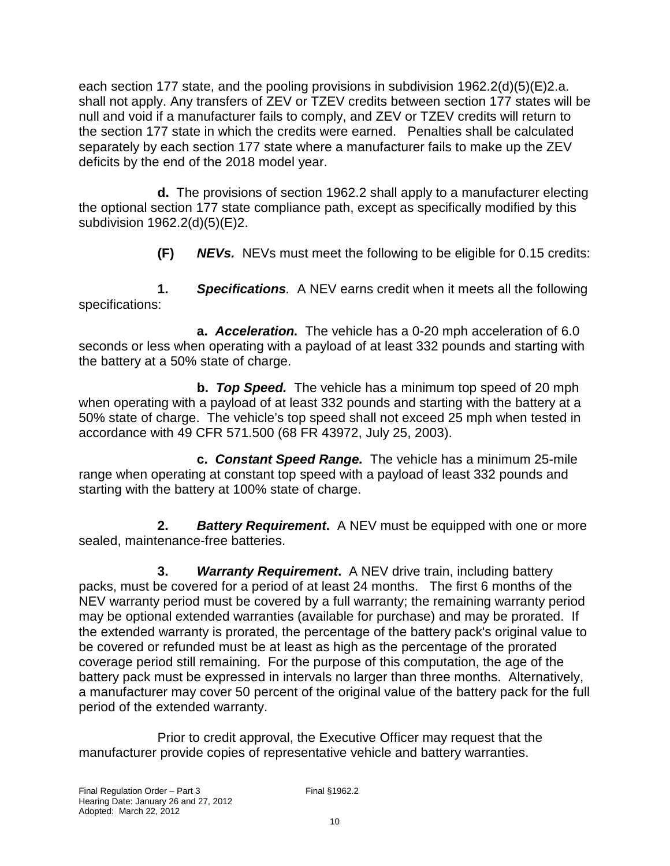each section 177 state, and the pooling provisions in subdivision 1962.2(d)(5)(E)2.a. shall not apply. Any transfers of ZEV or TZEV credits between section 177 states will be null and void if a manufacturer fails to comply, and ZEV or TZEV credits will return to the section 177 state in which the credits were earned. Penalties shall be calculated separately by each section 177 state where a manufacturer fails to make up the ZEV deficits by the end of the 2018 model year.

**d.** The provisions of section 1962.2 shall apply to a manufacturer electing the optional section 177 state compliance path, except as specifically modified by this subdivision 1962.2(d)(5)(E)2.

 **(F) NEVs.** NEVs must meet the following to be eligible for 0.15 credits:

**1. Specifications**. A NEV earns credit when it meets all the following specifications:

**a. Acceleration.** The vehicle has a 0-20 mph acceleration of 6.0 seconds or less when operating with a payload of at least 332 pounds and starting with the battery at a 50% state of charge.

**b. Top Speed.** The vehicle has a minimum top speed of 20 mph when operating with a payload of at least 332 pounds and starting with the battery at a 50% state of charge. The vehicle's top speed shall not exceed 25 mph when tested in accordance with 49 CFR 571.500 (68 FR 43972, July 25, 2003).

**c. Constant Speed Range.** The vehicle has a minimum 25-mile range when operating at constant top speed with a payload of least 332 pounds and starting with the battery at 100% state of charge.

**2. Battery Requirement.** A NEV must be equipped with one or more sealed, maintenance-free batteries.

**3. Warranty Requirement.** A NEV drive train, including battery packs, must be covered for a period of at least 24 months. The first 6 months of the NEV warranty period must be covered by a full warranty; the remaining warranty period may be optional extended warranties (available for purchase) and may be prorated. If the extended warranty is prorated, the percentage of the battery pack's original value to be covered or refunded must be at least as high as the percentage of the prorated coverage period still remaining. For the purpose of this computation, the age of the battery pack must be expressed in intervals no larger than three months. Alternatively, a manufacturer may cover 50 percent of the original value of the battery pack for the full period of the extended warranty.

Prior to credit approval, the Executive Officer may request that the manufacturer provide copies of representative vehicle and battery warranties.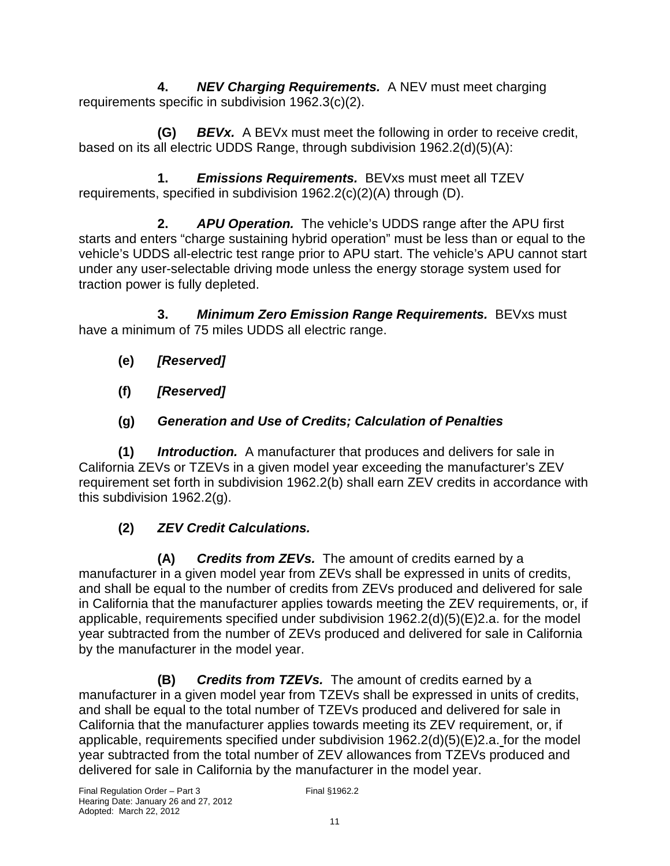**4. NEV Charging Requirements.** A NEV must meet charging requirements specific in subdivision 1962.3(c)(2).

 **(G) BEVx.** A BEVx must meet the following in order to receive credit, based on its all electric UDDS Range, through subdivision 1962.2(d)(5)(A):

 **1. Emissions Requirements.** BEVxs must meet all TZEV requirements, specified in subdivision 1962.2(c)(2)(A) through (D).

**2. APU Operation.** The vehicle's UDDS range after the APU first starts and enters "charge sustaining hybrid operation" must be less than or equal to the vehicle's UDDS all-electric test range prior to APU start. The vehicle's APU cannot start under any user-selectable driving mode unless the energy storage system used for traction power is fully depleted.

**3. Minimum Zero Emission Range Requirements.** BEVxs must have a minimum of 75 miles UDDS all electric range.

- **(e) [Reserved]**
- **(f) [Reserved]**
- **(g) Generation and Use of Credits; Calculation of Penalties**

**(1) Introduction.** A manufacturer that produces and delivers for sale in California ZEVs or TZEVs in a given model year exceeding the manufacturer's ZEV requirement set forth in subdivision 1962.2(b) shall earn ZEV credits in accordance with this subdivision 1962.2(g).

# **(2) ZEV Credit Calculations.**

**(A) Credits from ZEVs.** The amount of credits earned by a manufacturer in a given model year from ZEVs shall be expressed in units of credits, and shall be equal to the number of credits from ZEVs produced and delivered for sale in California that the manufacturer applies towards meeting the ZEV requirements, or, if applicable, requirements specified under subdivision 1962.2(d)(5)(E)2.a. for the model year subtracted from the number of ZEVs produced and delivered for sale in California by the manufacturer in the model year.

**(B) Credits from TZEVs.** The amount of credits earned by a manufacturer in a given model year from TZEVs shall be expressed in units of credits, and shall be equal to the total number of TZEVs produced and delivered for sale in California that the manufacturer applies towards meeting its ZEV requirement, or, if applicable, requirements specified under subdivision 1962.2(d)(5)(E)2.a. for the model year subtracted from the total number of ZEV allowances from TZEVs produced and delivered for sale in California by the manufacturer in the model year.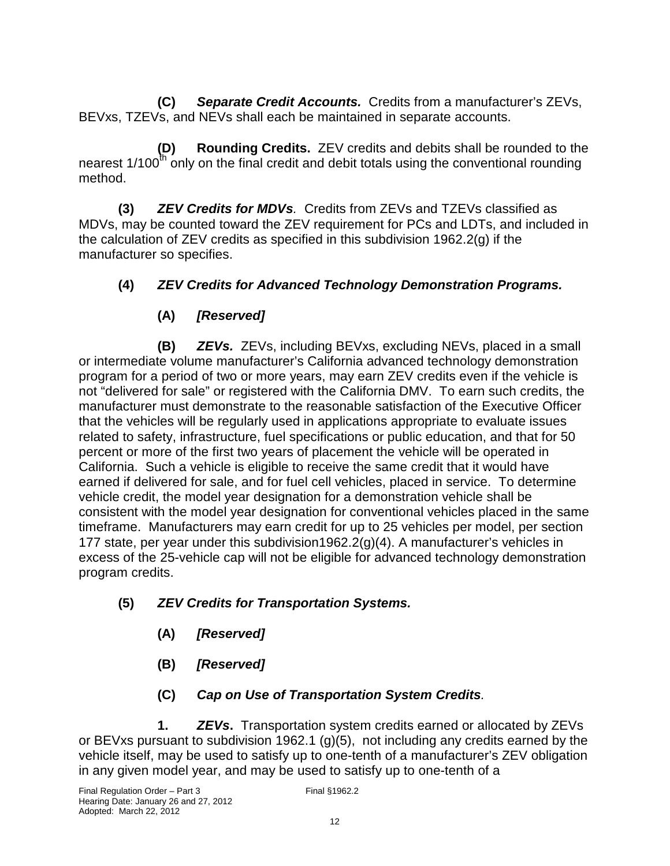**(C) Separate Credit Accounts.** Credits from a manufacturer's ZEVs, BEVxs, TZEVs, and NEVs shall each be maintained in separate accounts.

**(D) Rounding Credits.** ZEV credits and debits shall be rounded to the nearest  $1/100^{\text{th}}$  only on the final credit and debit totals using the conventional rounding method.

**(3) ZEV Credits for MDVs**. Credits from ZEVs and TZEVs classified as MDVs, may be counted toward the ZEV requirement for PCs and LDTs, and included in the calculation of ZEV credits as specified in this subdivision 1962.2(g) if the manufacturer so specifies.

### **(4) ZEV Credits for Advanced Technology Demonstration Programs.**

## **(A) [Reserved]**

**(B) ZEVs.** ZEVs, including BEVxs, excluding NEVs, placed in a small or intermediate volume manufacturer's California advanced technology demonstration program for a period of two or more years, may earn ZEV credits even if the vehicle is not "delivered for sale" or registered with the California DMV. To earn such credits, the manufacturer must demonstrate to the reasonable satisfaction of the Executive Officer that the vehicles will be regularly used in applications appropriate to evaluate issues related to safety, infrastructure, fuel specifications or public education, and that for 50 percent or more of the first two years of placement the vehicle will be operated in California. Such a vehicle is eligible to receive the same credit that it would have earned if delivered for sale, and for fuel cell vehicles, placed in service. To determine vehicle credit, the model year designation for a demonstration vehicle shall be consistent with the model year designation for conventional vehicles placed in the same timeframe. Manufacturers may earn credit for up to 25 vehicles per model, per section 177 state, per year under this subdivision1962.2(g)(4). A manufacturer's vehicles in excess of the 25-vehicle cap will not be eligible for advanced technology demonstration program credits.

- **(5) ZEV Credits for Transportation Systems.** 
	- **(A) [Reserved]**
	- **(B) [Reserved]**
	- **(C) Cap on Use of Transportation System Credits**.

**1. ZEVs.** Transportation system credits earned or allocated by ZEVs or BEVxs pursuant to subdivision 1962.1 (g)(5), not including any credits earned by the vehicle itself, may be used to satisfy up to one-tenth of a manufacturer's ZEV obligation in any given model year, and may be used to satisfy up to one-tenth of a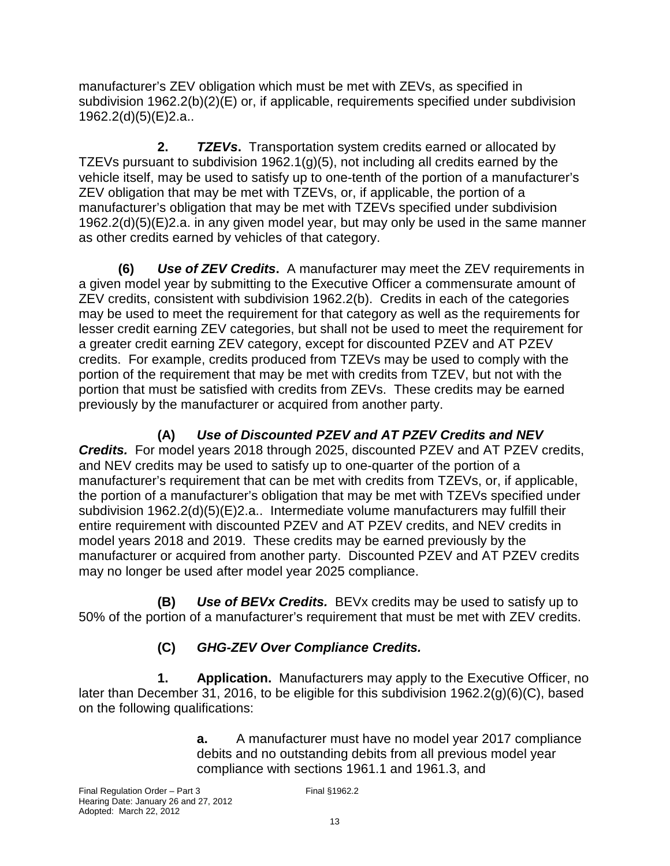manufacturer's ZEV obligation which must be met with ZEVs, as specified in subdivision 1962.2(b)(2)(E) or, if applicable, requirements specified under subdivision 1962.2(d)(5)(E)2.a..

**2. TZEVs.** Transportation system credits earned or allocated by TZEVs pursuant to subdivision 1962.1(g)(5), not including all credits earned by the vehicle itself, may be used to satisfy up to one-tenth of the portion of a manufacturer's ZEV obligation that may be met with TZEVs, or, if applicable, the portion of a manufacturer's obligation that may be met with TZEVs specified under subdivision 1962.2(d)(5)(E)2.a. in any given model year, but may only be used in the same manner as other credits earned by vehicles of that category.

**(6) Use of ZEV Credits.** A manufacturer may meet the ZEV requirements in a given model year by submitting to the Executive Officer a commensurate amount of ZEV credits, consistent with subdivision 1962.2(b). Credits in each of the categories may be used to meet the requirement for that category as well as the requirements for lesser credit earning ZEV categories, but shall not be used to meet the requirement for a greater credit earning ZEV category, except for discounted PZEV and AT PZEV credits. For example, credits produced from TZEVs may be used to comply with the portion of the requirement that may be met with credits from TZEV, but not with the portion that must be satisfied with credits from ZEVs. These credits may be earned previously by the manufacturer or acquired from another party.

# **(A) Use of Discounted PZEV and AT PZEV Credits and NEV**

**Credits.** For model years 2018 through 2025, discounted PZEV and AT PZEV credits, and NEV credits may be used to satisfy up to one-quarter of the portion of a manufacturer's requirement that can be met with credits from TZEVs, or, if applicable, the portion of a manufacturer's obligation that may be met with TZEVs specified under subdivision 1962.2(d)(5)(E)2.a.. Intermediate volume manufacturers may fulfill their entire requirement with discounted PZEV and AT PZEV credits, and NEV credits in model years 2018 and 2019. These credits may be earned previously by the manufacturer or acquired from another party. Discounted PZEV and AT PZEV credits may no longer be used after model year 2025 compliance.

**(B) Use of BEVx Credits.** BEVx credits may be used to satisfy up to 50% of the portion of a manufacturer's requirement that must be met with ZEV credits.

### **(C) GHG-ZEV Over Compliance Credits.**

**1. Application.** Manufacturers may apply to the Executive Officer, no later than December 31, 2016, to be eligible for this subdivision 1962.2(g)(6)(C), based on the following qualifications:

> **a.** A manufacturer must have no model year 2017 compliance debits and no outstanding debits from all previous model year compliance with sections 1961.1 and 1961.3, and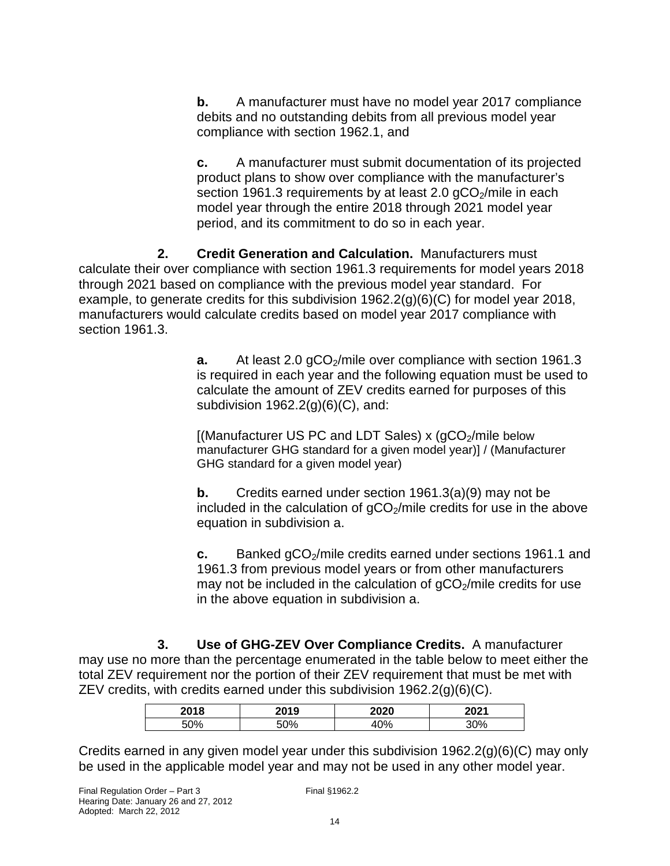**b.** A manufacturer must have no model year 2017 compliance debits and no outstanding debits from all previous model year compliance with section 1962.1, and

**c.** A manufacturer must submit documentation of its projected product plans to show over compliance with the manufacturer's section 1961.3 requirements by at least 2.0  $qCO<sub>2</sub>/mile$  in each model year through the entire 2018 through 2021 model year period, and its commitment to do so in each year.

 **2. Credit Generation and Calculation.** Manufacturers must calculate their over compliance with section 1961.3 requirements for model years 2018 through 2021 based on compliance with the previous model year standard. For example, to generate credits for this subdivision 1962.2(g)(6)(C) for model year 2018, manufacturers would calculate credits based on model year 2017 compliance with section 1961.3.

> **a.** At least 2.0 gCO<sub>2</sub>/mile over compliance with section 1961.3 is required in each year and the following equation must be used to calculate the amount of ZEV credits earned for purposes of this subdivision  $1962.2(g)(6)(C)$ , and:

 $[(\text{Manufacturer US PC and LDT Sales}) \times (\text{qCO}_2/\text{mile below}]$ manufacturer GHG standard for a given model year)] / (Manufacturer GHG standard for a given model year)

**b.** Credits earned under section 1961.3(a)(9) may not be included in the calculation of  $qCO<sub>2</sub>/m$  ile credits for use in the above equation in subdivision a.

**c.** Banked gCO<sub>2</sub>/mile credits earned under sections 1961.1 and 1961.3 from previous model years or from other manufacturers may not be included in the calculation of  $qCO<sub>2</sub>/mile$  credits for use in the above equation in subdivision a.

 **3. Use of GHG-ZEV Over Compliance Credits.** A manufacturer may use no more than the percentage enumerated in the table below to meet either the total ZEV requirement nor the portion of their ZEV requirement that must be met with ZEV credits, with credits earned under this subdivision  $1962.2(q)(6)(C)$ .

| 0.010 | 2019 | 2020 | 0.004 |
|-------|------|------|-------|
| 00/   | .00/ | nn/  | ∕ח∩כ  |

Credits earned in any given model year under this subdivision 1962.2(g)(6)(C) may only be used in the applicable model year and may not be used in any other model year.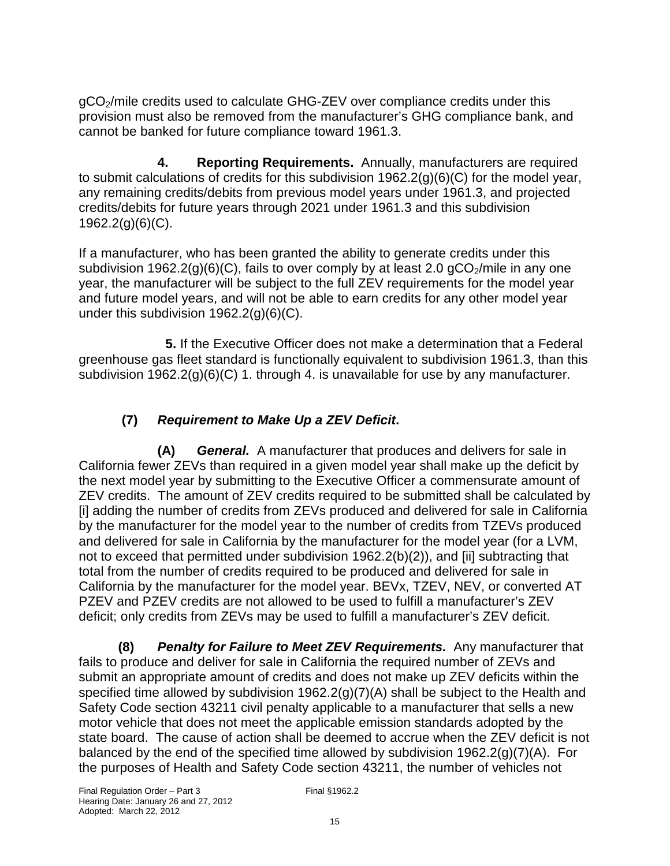gCO2/mile credits used to calculate GHG-ZEV over compliance credits under this provision must also be removed from the manufacturer's GHG compliance bank, and cannot be banked for future compliance toward 1961.3.

**4. Reporting Requirements.** Annually, manufacturers are required to submit calculations of credits for this subdivision 1962.2(g)(6)(C) for the model year, any remaining credits/debits from previous model years under 1961.3, and projected credits/debits for future years through 2021 under 1961.3 and this subdivision 1962.2(g)(6)(C).

If a manufacturer, who has been granted the ability to generate credits under this subdivision 1962.2(g)(6)(C), fails to over comply by at least 2.0  $gCO<sub>2</sub>/mile$  in any one year, the manufacturer will be subject to the full ZEV requirements for the model year and future model years, and will not be able to earn credits for any other model year under this subdivision 1962.2(g)(6)(C).

**5.** If the Executive Officer does not make a determination that a Federal greenhouse gas fleet standard is functionally equivalent to subdivision 1961.3, than this subdivision 1962.2(g)(6)(C) 1. through 4. is unavailable for use by any manufacturer.

### **(7) Requirement to Make Up a ZEV Deficit.**

**(A) General.** A manufacturer that produces and delivers for sale in California fewer ZEVs than required in a given model year shall make up the deficit by the next model year by submitting to the Executive Officer a commensurate amount of ZEV credits. The amount of ZEV credits required to be submitted shall be calculated by [i] adding the number of credits from ZEVs produced and delivered for sale in California by the manufacturer for the model year to the number of credits from TZEVs produced and delivered for sale in California by the manufacturer for the model year (for a LVM, not to exceed that permitted under subdivision 1962.2(b)(2)), and [ii] subtracting that total from the number of credits required to be produced and delivered for sale in California by the manufacturer for the model year. BEVx, TZEV, NEV, or converted AT PZEV and PZEV credits are not allowed to be used to fulfill a manufacturer's ZEV deficit; only credits from ZEVs may be used to fulfill a manufacturer's ZEV deficit.

**(8) Penalty for Failure to Meet ZEV Requirements.** Any manufacturer that fails to produce and deliver for sale in California the required number of ZEVs and submit an appropriate amount of credits and does not make up ZEV deficits within the specified time allowed by subdivision 1962.2(g)(7)(A) shall be subject to the Health and Safety Code section 43211 civil penalty applicable to a manufacturer that sells a new motor vehicle that does not meet the applicable emission standards adopted by the state board. The cause of action shall be deemed to accrue when the ZEV deficit is not balanced by the end of the specified time allowed by subdivision 1962.2(g)(7)(A). For the purposes of Health and Safety Code section 43211, the number of vehicles not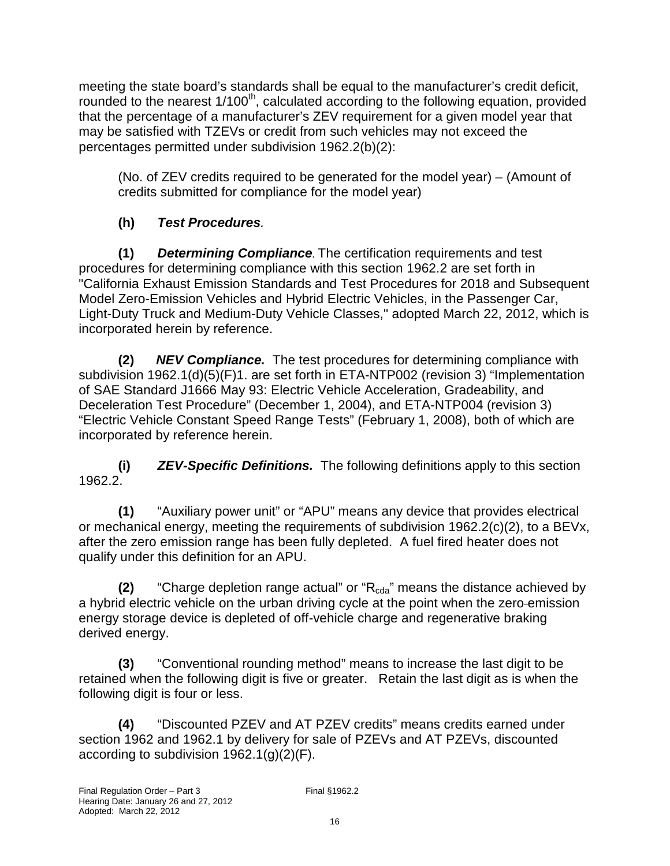meeting the state board's standards shall be equal to the manufacturer's credit deficit, rounded to the nearest 1/100<sup>th</sup>, calculated according to the following equation, provided that the percentage of a manufacturer's ZEV requirement for a given model year that may be satisfied with TZEVs or credit from such vehicles may not exceed the percentages permitted under subdivision 1962.2(b)(2):

(No. of ZEV credits required to be generated for the model year) – (Amount of credits submitted for compliance for the model year)

# **(h) Test Procedures**.

 **(1) Determining Compliance***.* The certification requirements and test procedures for determining compliance with this section 1962.2 are set forth in "California Exhaust Emission Standards and Test Procedures for 2018 and Subsequent Model Zero-Emission Vehicles and Hybrid Electric Vehicles, in the Passenger Car, Light-Duty Truck and Medium-Duty Vehicle Classes," adopted March 22, 2012, which is incorporated herein by reference.

 **(2) NEV Compliance.** The test procedures for determining compliance with subdivision 1962.1(d)(5)(F)1. are set forth in ETA-NTP002 (revision 3) "Implementation of SAE Standard J1666 May 93: Electric Vehicle Acceleration, Gradeability, and Deceleration Test Procedure" (December 1, 2004), and ETA-NTP004 (revision 3) "Electric Vehicle Constant Speed Range Tests" (February 1, 2008), both of which are incorporated by reference herein.

**(i) ZEV-Specific Definitions.** The following definitions apply to this section 1962.2.

**(1)** "Auxiliary power unit" or "APU" means any device that provides electrical or mechanical energy, meeting the requirements of subdivision 1962.2(c)(2), to a BEVx, after the zero emission range has been fully depleted. A fuel fired heater does not qualify under this definition for an APU.

**(2)** "Charge depletion range actual" or "R<sub>cda</sub>" means the distance achieved by a hybrid electric vehicle on the urban driving cycle at the point when the zero emission energy storage device is depleted of off-vehicle charge and regenerative braking derived energy.

**(3)** "Conventional rounding method" means to increase the last digit to be retained when the following digit is five or greater. Retain the last digit as is when the following digit is four or less.

**(4)** "Discounted PZEV and AT PZEV credits" means credits earned under section 1962 and 1962.1 by delivery for sale of PZEVs and AT PZEVs, discounted according to subdivision 1962.1(g)(2)(F).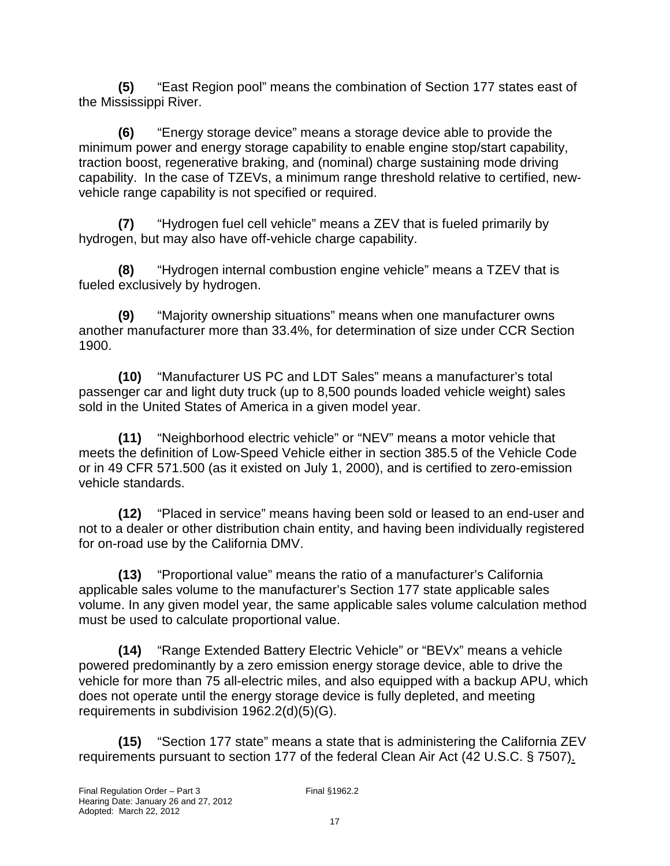**(5)** "East Region pool" means the combination of Section 177 states east of the Mississippi River.

**(6)** "Energy storage device" means a storage device able to provide the minimum power and energy storage capability to enable engine stop/start capability, traction boost, regenerative braking, and (nominal) charge sustaining mode driving capability. In the case of TZEVs, a minimum range threshold relative to certified, newvehicle range capability is not specified or required.

 **(7)** "Hydrogen fuel cell vehicle" means a ZEV that is fueled primarily by hydrogen, but may also have off-vehicle charge capability.

 **(8)** "Hydrogen internal combustion engine vehicle" means a TZEV that is fueled exclusively by hydrogen.

 **(9)** "Majority ownership situations" means when one manufacturer owns another manufacturer more than 33.4%, for determination of size under CCR Section 1900.

 **(10)** "Manufacturer US PC and LDT Sales" means a manufacturer's total passenger car and light duty truck (up to 8,500 pounds loaded vehicle weight) sales sold in the United States of America in a given model year.

 **(11)** "Neighborhood electric vehicle" or "NEV" means a motor vehicle that meets the definition of Low-Speed Vehicle either in section 385.5 of the Vehicle Code or in 49 CFR 571.500 (as it existed on July 1, 2000), and is certified to zero-emission vehicle standards.

 **(12)** "Placed in service" means having been sold or leased to an end-user and not to a dealer or other distribution chain entity, and having been individually registered for on-road use by the California DMV.

 **(13)** "Proportional value" means the ratio of a manufacturer's California applicable sales volume to the manufacturer's Section 177 state applicable sales volume. In any given model year, the same applicable sales volume calculation method must be used to calculate proportional value.

 **(14)** "Range Extended Battery Electric Vehicle" or "BEVx" means a vehicle powered predominantly by a zero emission energy storage device, able to drive the vehicle for more than 75 all-electric miles, and also equipped with a backup APU, which does not operate until the energy storage device is fully depleted, and meeting requirements in subdivision 1962.2(d)(5)(G).

 **(15)** "Section 177 state" means a state that is administering the California ZEV requirements pursuant to section 177 of the federal Clean Air Act (42 U.S.C. § 7507).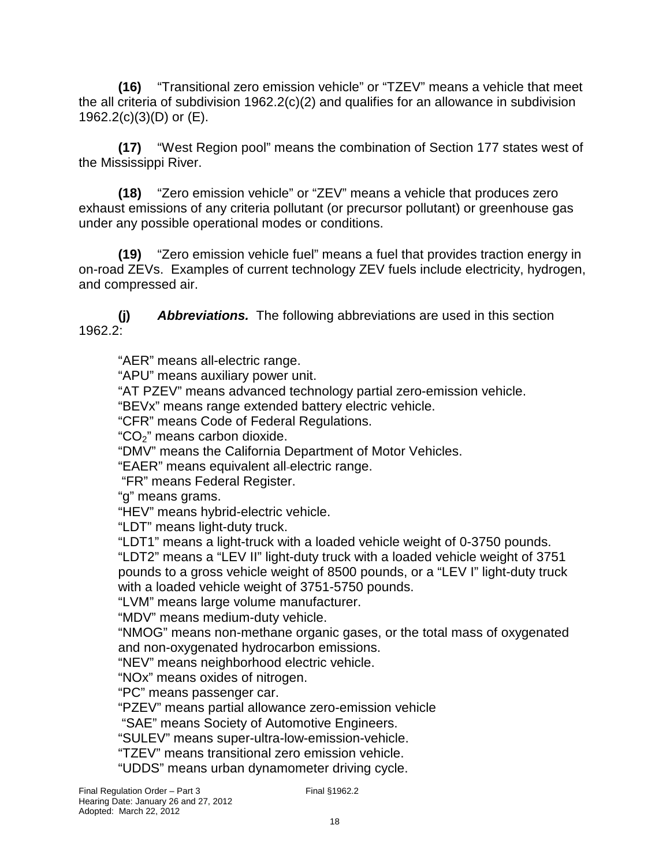**(16)** "Transitional zero emission vehicle" or "TZEV" means a vehicle that meet the all criteria of subdivision 1962.2(c)(2) and qualifies for an allowance in subdivision 1962.2(c)(3)(D) or (E).

 **(17)** "West Region pool" means the combination of Section 177 states west of the Mississippi River.

 **(18)** "Zero emission vehicle" or "ZEV" means a vehicle that produces zero exhaust emissions of any criteria pollutant (or precursor pollutant) or greenhouse gas under any possible operational modes or conditions.

 **(19)** "Zero emission vehicle fuel" means a fuel that provides traction energy in on-road ZEVs. Examples of current technology ZEV fuels include electricity, hydrogen, and compressed air.

**(j) Abbreviations.** The following abbreviations are used in this section 1962.2:

"AER" means all-electric range.

"APU" means auxiliary power unit.

"AT PZEV" means advanced technology partial zero-emission vehicle.

"BEVx" means range extended battery electric vehicle.

"CFR" means Code of Federal Regulations.

"CO2" means carbon dioxide.

"DMV" means the California Department of Motor Vehicles.

"EAER" means equivalent all electric range.

"FR" means Federal Register.

"g" means grams.

"HEV" means hybrid-electric vehicle.

"LDT" means light-duty truck.

"LDT1" means a light-truck with a loaded vehicle weight of 0-3750 pounds.

"LDT2" means a "LEV II" light-duty truck with a loaded vehicle weight of 3751 pounds to a gross vehicle weight of 8500 pounds, or a "LEV I" light-duty truck with a loaded vehicle weight of 3751-5750 pounds.

"LVM" means large volume manufacturer.

"MDV" means medium-duty vehicle.

"NMOG" means non-methane organic gases, or the total mass of oxygenated and non-oxygenated hydrocarbon emissions.

"NEV" means neighborhood electric vehicle.

"NOx" means oxides of nitrogen.

"PC" means passenger car.

"PZEV" means partial allowance zero-emission vehicle

"SAE" means Society of Automotive Engineers.

"SULEV" means super-ultra-low-emission-vehicle.

"TZEV" means transitional zero emission vehicle.

"UDDS" means urban dynamometer driving cycle.